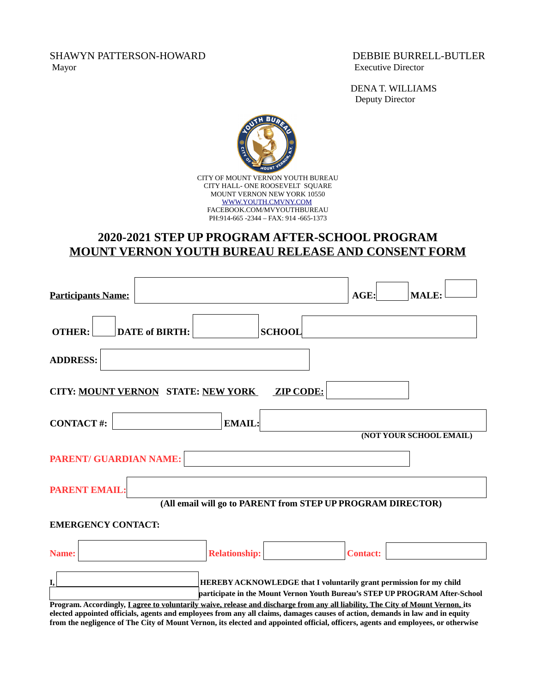SHAWYN PATTERSON-HOWARD DEBBIE BURRELL-BUTLER Mayor Executive Director

DENA T. WILLIAMS Deputy Director



## **2020-2021 STEP UP PROGRAM AFTER-SCHOOL PROGRAM MOUNT VERNON YOUTH BUREAU RELEASE AND CONSENT FORM**

| <b>Participants Name:</b>                                                                                                       |                       |                                                                                                                                                    |                  | $AGE$ :         | <b>MALE:</b>            |  |
|---------------------------------------------------------------------------------------------------------------------------------|-----------------------|----------------------------------------------------------------------------------------------------------------------------------------------------|------------------|-----------------|-------------------------|--|
| <b>OTHER:</b>                                                                                                                   | <b>DATE of BIRTH:</b> |                                                                                                                                                    | <b>SCHOOL</b>    |                 |                         |  |
| <b>ADDRESS:</b>                                                                                                                 |                       |                                                                                                                                                    |                  |                 |                         |  |
| <b>CITY: MOUNT VERNON STATE: NEW YORK</b>                                                                                       |                       |                                                                                                                                                    | <b>ZIP CODE:</b> |                 |                         |  |
| <b>CONTACT#:</b>                                                                                                                |                       | <b>EMAIL:</b>                                                                                                                                      |                  |                 | (NOT YOUR SCHOOL EMAIL) |  |
| <b>PARENT/ GUARDIAN NAME:</b>                                                                                                   |                       |                                                                                                                                                    |                  |                 |                         |  |
| <b>PARENT EMAIL:</b>                                                                                                            |                       | (All email will go to PARENT from STEP UP PROGRAM DIRECTOR)                                                                                        |                  |                 |                         |  |
| <b>EMERGENCY CONTACT:</b>                                                                                                       |                       |                                                                                                                                                    |                  |                 |                         |  |
| Name:                                                                                                                           |                       | <b>Relationship:</b>                                                                                                                               |                  | <b>Contact:</b> |                         |  |
| I,                                                                                                                              |                       | HEREBY ACKNOWLEDGE that I voluntarily grant permission for my child<br>participate in the Mount Vernon Youth Bureau's STEP UP PROGRAM After-School |                  |                 |                         |  |
| Program. Accordingly, I agree to voluntarily waive, release and discharge from any all liability, The City of Mount Vernon, its |                       |                                                                                                                                                    |                  |                 |                         |  |

**elected appointed officials, agents and employees from any all claims, damages causes of action, demands in law and in equity from the negligence of The City of Mount Vernon, its elected and appointed official, officers, agents and employees, or otherwise**